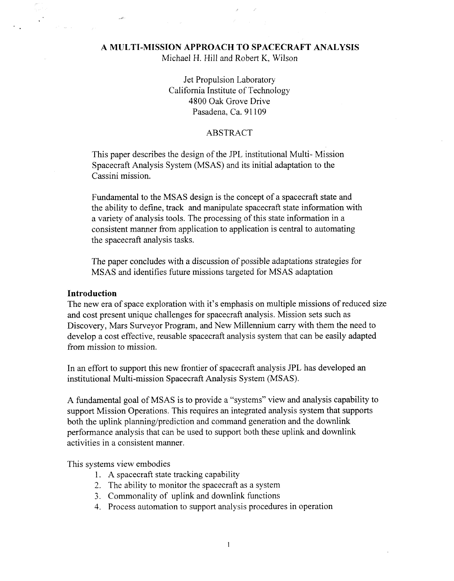# **A MULTI-MISSION APPROACH TO SPACECRAFT ANALYSIS**

Michael H. Hill and Robert K, Wilson

Jet Propulsion Laboratory California Institute of Technology 4800 *Oak* Grove Drive Pasadena, Ca. 91 109

### ABSTRACT

This paper describes the design of the JPL institutional Multi- Mission Spacecraft Analysis System **(MSAS)** and its initial adaptation to the Cassini mission.

Fundamental to the **MSAS** design is the concept of a spacecraft state and the ability to define, track and manipulate spacecraft state information with a variety of analysis tools. The processing of this state information in a consistent manner from application to application is central to automating the spacecraft analysis tasks.

The paper concludes with a discussion of possible adaptations strategies for MSAS and identifies hture missions targeted for MSAS adaptation

#### **Introduction**

The new era of space exploration with it's emphasis on multiple missions of reduced size and cost present unique challenges for spacecraft analysis. Mission sets such as Discovery, Mars Surveyor Program, and New Millennium carry with them the need to develop a cost effective, reusable spacecraft analysis system that can be easily adapted from mission to mission.

In an effort to support this new frontier of spacecraft analysis JPL has developed an institutional Multi-mission Spacecraft Analysis System (MSAS).

**A** fundamental goal of MSAS is to provide a "systems" view and analysis capability to support Mission Operations. This requires an integrated analysis system that supports both the uplink planning/prediction and command generation and the downlink performance analysis that can be used to support both these uplink and downlink activities in a consistent manner.

This systems view embodies

- 1. **A** spacecraft state tracking capability
- 2. The ability to monitor the spacecraft as a system
- 3. Commonality of uplink and downlink functions
- 4. Process automation to support analysis procedures in operation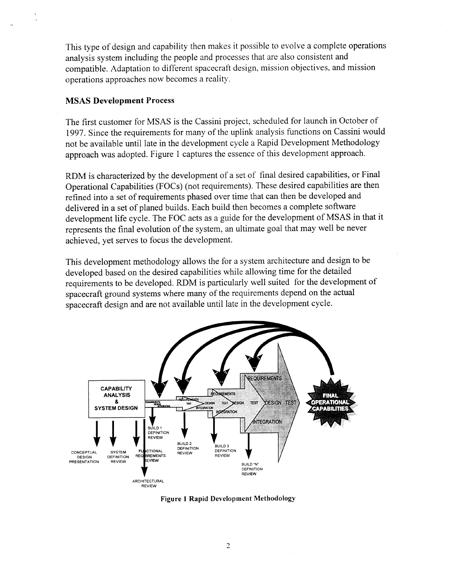This type of design and capability then makes it possible to evolve a complete operations analysis system including the people and processes that are also consistent and compatible. Adaptation to different spacecraft design, mission objectives, and mission operations approaches now becomes a reality.

### **MSAS Development Process**

The first customer for MSAS is the Cassini project, scheduled for launch in October of 1997. Since the requirements for many of the uplink analysis functions on Cassini would not be available until late in the development cycle a Rapid Development Methodology approach was adopted. Figure 1 captures the essence of this development approach.

RDM is characterized by the development of a set of final desired capabilities, or Final Operational Capabilities (FOCs) (not requirements). These desired capabilities are then refined into a set of requirements phased over time that can then be developed and delivered in a set of planed builds. Each build then becomes a complete software development life cycle. The FOC acts as a guide for the development of MSAS in that it represents the final evolution of the system, an ultimate goal that may well be never achieved, yet serves to focus the development.

This development methodology allows the for a system architecture and design to be developed based on the desired capabilities while allowing time for the detailed requirements to be developed. RDM is particularly well suited for the development of spacecraft ground systems where many of the requirements depend on the actual spacecraft design and are not available until late in the development cycle.



**Figure 1 Rapid Development Methodology**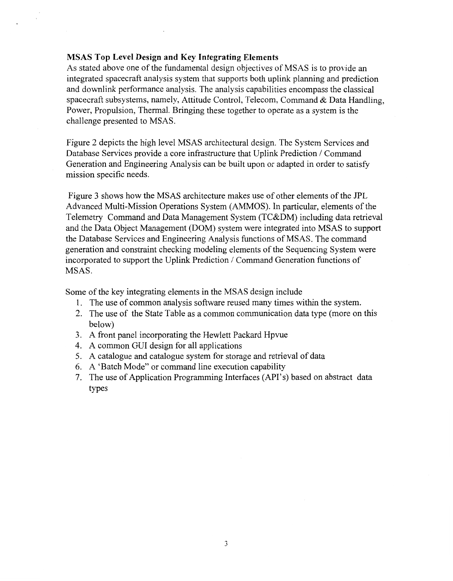## **MSAS Top Level Design and Key Integrating Elements**

As stated above one of the fundamental design objectives of MSAS is to provide an integrated spacecraft analysis system that supports both uplink planning and prediction and downlink performance analysis. The analysis capabilities encompass the classical spacecraft subsystems, namely, Attitude Control, Telecom, Command & Data Handling, Power, Propulsion, Thermal. Bringing these together to operate as a system is the challenge presented to MSAS.

[Figure 2](#page-3-0) depicts the high level MSAS architectural design. The System Services and Database Services provide a core infrastructure that Uplink Prediction / Command Generation and Engineering Analysis can be built upon or adapted in order to satisfy mission specific needs.

Figure 3 shows how the MSAS architecture makes use of other elements of the JPL Advanced Multi-Mission Operations System (AMMOS). In particular, elements of the Telemetry Command and Data Management System (TC&DM) including data retrieval and the Data Object Management (DOM) system were integrated into MSAS to support the Database Services and Engineering Analysis functions of MSAS. The command generation and constraint checking modeling elements of the Sequencing System were incorporated to support the Uplink Prediction / Command Generation functions of MSAS.

Some of the key integrating elements in the MSAS design include

- 1. The use of common analysis software reused many times within the system.
- 2. The use of the State Table as a common communication data type (more on this below)
- 3. A front panel incorporating the Hewlett Packard Hpvue
- 4. A common GUI design for all applications
- 5. A catalogue and catalogue system for storage and retrieval of data
- 6. A 'Batch Mode" or command line execution capability
- 7. The use of Application Programming Interfaces (API's) based on abstract data types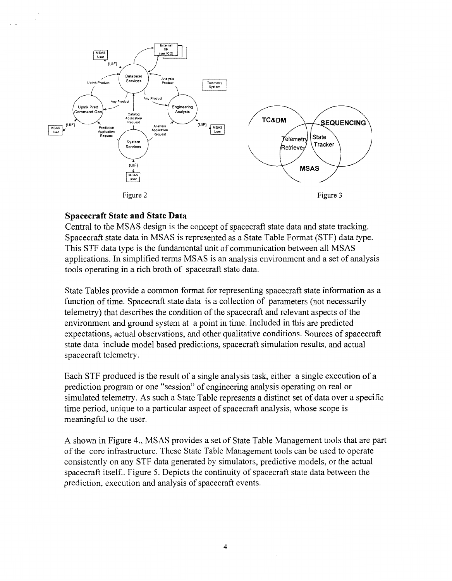<span id="page-3-0"></span>

# **Spacecraft State and State Data**

Central to the MSAS design is the concept of spacecraft state data and state tracking. Spacecraft state data in MSAS is represented as a State Table Format (STF) data type. This STF data type is the fundamental unit of communication between all MSAS applications. In simplified terms MSAS is an analysis environment and a set of analysis tools operating in a rich broth of spacecraft state data.

State Tables provide a common format for representing spacecraft state information as a function of time. Spacecraft state data is a collection of parameters (not necessarily telemetry) that describes the condition of the spacecraft and relevant aspects of the environment and ground system at a point in time. Included in this are predicted expectations, actual observations, and other qualitative conditions. Sources of spacecraft state data include model based predictions, spacecraft simulation results, and actual spacecraft telemetry.

Each STF produced is the result of a single analysis task, either a single execution of a prediction program or one "session" of engineering analysis operating on real or simulated telemetry. **As** such a State Table represents a distinct set of data over a specific time period, unique to a particular aspect of spacecraft analysis, whose scope is meaningful to the user.

A shown in Figure 4., MSAS provides a set of State Table Management tools that are part of the core infrastructure. These State Table Management tools can be used to operate consistently on any STF data generated by simulators, predictive models, or the actual spacecraft itself.. [Figure 5.](#page-4-0) Depicts the continuity of spacecraft state data between the prediction, execution and analysis of spacecraft events.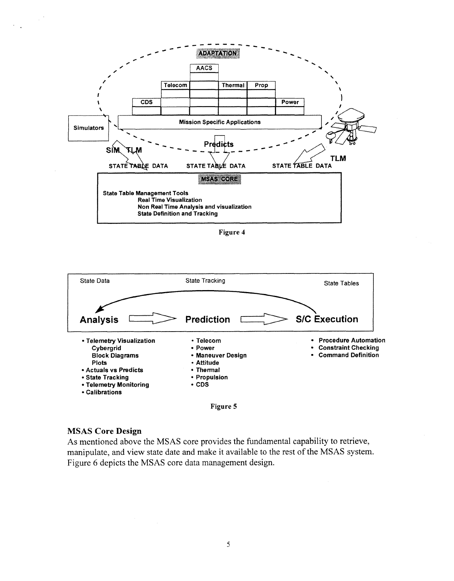<span id="page-4-0"></span>

**Figure 4** 



**Figure 5** 

#### **MSAS Core Design**

As mentioned above the MSAS core provides the fundamental capability to retrieve, manipulate, and view state date and make it available to the rest of the MSAS system. [Figure 6](#page-5-0) depicts the MSAS core data management design.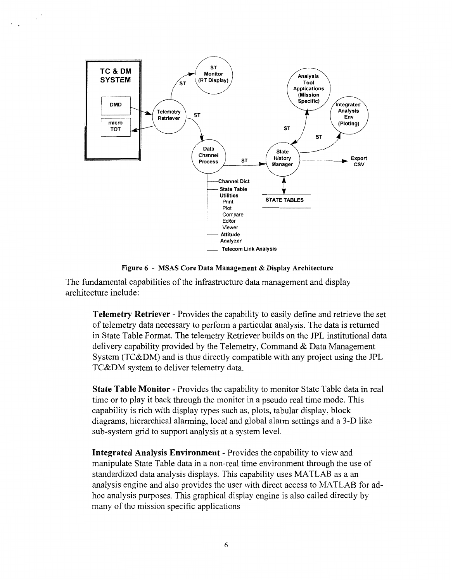<span id="page-5-0"></span>

**Figure 6** - **MSAS Core Data Management** & **Display Architecture** 

The fundamental capabilities of the infrastructure data management and display architecture include:

**Telemetry Retriever** - Provides the capability to easily define and retrieve the set of telemetry data necessary to perform a particular analysis. The data is returned in State Table Format. The telemetry Retriever builds on the JPL institutional data delivery capability provided by the Telemetry, Command & Data Management System (TC&DM) and is thus directly compatible with any project using the JPL TC&DM system to deliver telemetry data.

**State Table Monitor** - Provides the capability to monitor State Table data in real time or to play it back through the monitor in a pseudo real time mode. This capability is rich with display types such as, plots, tabular display, block diagrams, hierarchical alarming, local and global alarm settings and a 3-D like sub-system grid to support analysis at a system level.

**Integrated Analysis Environment** - Provides the capability to view and manipulate State Table data in a non-real time environment through the use of standardized data analysis displays. This capability uses MATLAB as a an analysis engine and also provides the user with direct access to MATLAB for adhoc analysis purposes. This graphical display engine is also called directly by many of the mission specific applications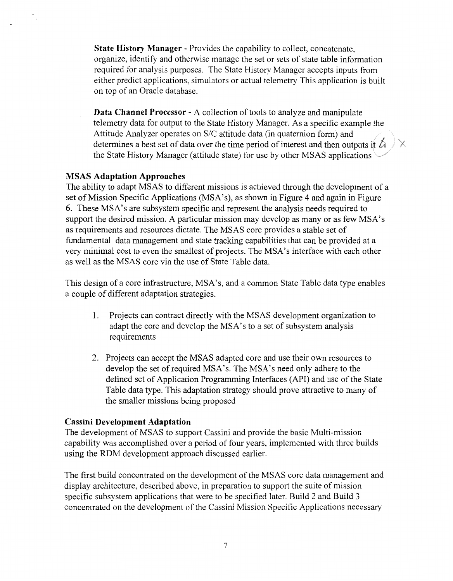**State History Manager** - Provides the capability to collect, concatenate, organize, identify and otherwise manage the set or sets of state table information required for analysis purposes. The State History Manager accepts inputs from either predict applications, simulators or actual telemetry This application is built on top of an Oracle database.

**Data Channel Processor** - A collection of tools to analyze and manipulate telemetry data for output to the State History Manager. As a specific example the Attitude Analyzer operates on S/C attitude data (in quaternion form) and determines a best set of data over the time period of interest and then outputs it  $\mathbb{A}$ the State History Manager (attitude state) for use by other MSAS applications

## **MSAS Adaptation Approaches**

The ability to adapt MSAS to different missions is achieved through the development of a set of Mission Specific Applications (MSA's), as shown in [Figure 4](#page-4-0) and again in [Figure](#page-5-0) *[6.](#page-5-0)* These MSA's are subsystem specific and represent the analysis needs required to support the desired mission. A particular mission may develop as many or as few MSA's as requirements and resources dictate. The MSAS core provides a stable set of fundamental data management and state tracking capabilities that can be provided at a very minimal cost to even the smallest of projects. The MSA's interface with each other as well as the MSAS core via the use of State Table data.

This design of a core infrastructure, MSA's, and a common State Table data type enables a couple of different adaptation strategies.

- 1. Projects can contract directly with the MSAS development organization to adapt the core and develop the MSA's to a set of subsystem analysis requirements
- 2. Projects can accept the MSAS adapted core and use their own resources to develop the set of required MSA's. The MSA's need only adhere to the defined set of Application Programming Interfaces (API) and use of the State Table data type. This adaptation strategy should prove attractive to many of the smaller missions being proposed

# **Cassini Development Adaptation**

The development of MSAS to support Cassini and provide the basic Multi-mission capability was accomplished over a period of four years, implemented with three builds using the RDM development approach discussed earlier.

The first build concentrated on the development of the MSAS core data management and display architecture, described above, in preparation to support the suite of mission specific subsystem applications that were to be specified later. Build 2 and Build *3*  concentrated on the development of the Cassini Mission Specific Applications necessary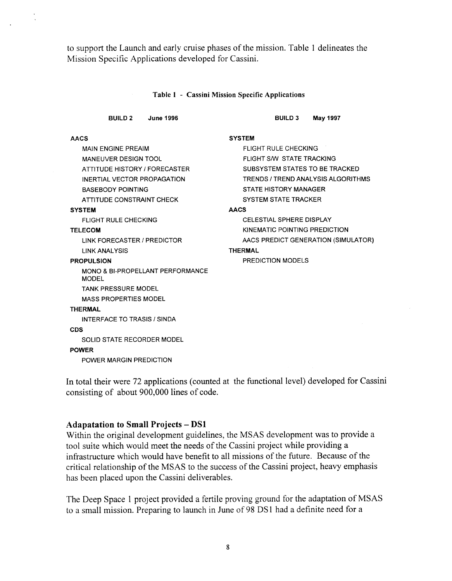to support the Launch and early cruise phases of the mission. Table 1 delineates the Mission Specific Applications developed for Cassini.

#### **Table 1** - **Cassini Mission Specific Applications**

| <b>BUILD 2</b><br><b>June 1996</b>               | <b>BUILD 3</b><br><b>May 1997</b>   |
|--------------------------------------------------|-------------------------------------|
| <b>AACS</b>                                      | <b>SYSTEM</b>                       |
| <b>MAIN ENGINE PREAIM</b>                        | FLIGHT RULE CHECKING                |
| <b>MANEUVER DESIGN TOOL</b>                      | FLIGHT S/W STATE TRACKING           |
| ATTITUDE HISTORY / FORECASTER                    | SUBSYSTEM STATES TO BE TRACKED      |
| INFRTIAL VECTOR PROPAGATION                      | TRENDS / TREND ANALYSIS ALGORITHMS  |
| <b>BASEBODY POINTING</b>                         | <b>STATE HISTORY MANAGER</b>        |
| ATTITUDE CONSTRAINT CHECK                        | <b>SYSTEM STATE TRACKER</b>         |
| <b>SYSTEM</b>                                    | <b>AACS</b>                         |
| <b>FLIGHT RULE CHECKING</b>                      | <b>CELESTIAL SPHERE DISPLAY</b>     |
| <b>TELECOM</b>                                   | KINEMATIC POINTING PREDICTION       |
| LINK FORECASTER / PREDICTOR                      | AACS PREDICT GENERATION (SIMULATOR) |
| <b>LINK ANALYSIS</b>                             | <b>THERMAL</b>                      |
| <b>PROPULSION</b>                                | <b>PREDICTION MODELS</b>            |
| MONO & BI-PROPELLANT PERFORMANCE<br><b>MODEL</b> |                                     |
| <b>TANK PRESSURE MODEL</b>                       |                                     |
| <b>MASS PROPERTIES MODEL</b>                     |                                     |
| <b>THERMAL</b>                                   |                                     |
| INTERFACE TO TRASIS / SINDA                      |                                     |
| <b>CDS</b>                                       |                                     |
| SOLID STATE RECORDER MODEL                       |                                     |
| <b>POWER</b>                                     |                                     |
| POWER MARGIN PREDICTION                          |                                     |
|                                                  |                                     |

In total their were 72 applications (counted at the functional level) developed for Cassini consisting of about 900,000 lines of code.

## **Adapatation to Small Projects** - **DS1**

Within the original development guidelines, the MSAS development was to provide a tool suite which would meet the needs of the Cassini project while providing a infrastructure which would have benefit to all missions of the future. Because of the critical relationship of the MSAS to the success of the Cassini project, heavy emphasis has been placed upon the Cassini deliverables.

The Deep Space 1 project provided a fertile proving ground for the adaptation of MSAS to a small mission. Preparing to launch in June of 98 DSl had a definite need for a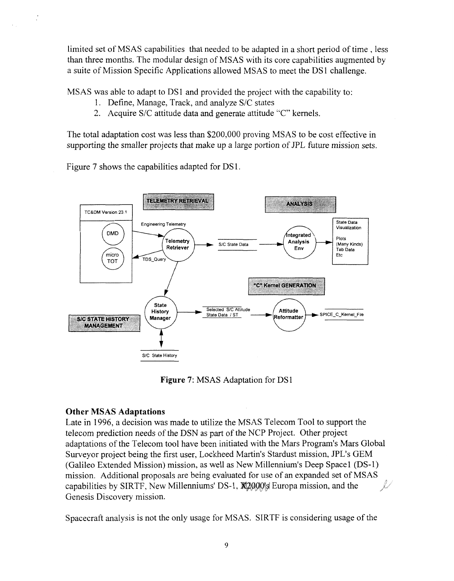limited set of MSAS capabilities that needed to be adapted in a short period of time , less than three months. The modular design of MSAS with its core capabilities augmented by a suite of Mission Specific Applications allowed MSAS to meet the DS 1 challenge.

MSAS was able to adapt to DSI and provided the project with the capability to:

- 1. Define, Manage, Track, and analyze S/C states
- 2. Acquire S/C attitude data and generate attitude "C" kernels.

The total adaptation cost was less than \$200,000 proving MSAS to be cost effective in supporting the smaller projects that make up a large portion of JPL future mission sets.

Figure 7 shows the capabilities adapted for DS 1.



**Figure 7:** MSAS Adaptation for DS1

# **Other MSAS Adaptations**

Late in 1996, a decision was made to utilize the MSAS Telecom Tool to support the telecom prediction needs of the DSN as part of the NCP Project. Other project adaptations of the Telecom tool have been initiated with the Mars Program's Mars Global Surveyor project being the first user, Lockheed Martin's Stardust mission, JPL's GEM (Galileo Extended Mission) mission, as well as New Millennium's Deep Space1 (DS-1) mission. Additional proposals are being evaluated for use of an expanded set of MSAS capabilities by SIRTF, New Millenniums' DS-1, **X2000**s Europa mission, and the Genesis Discovery mission. i.

Spacecraft analysis is not the only usage for MSAS. SIRTF is considering usage of the